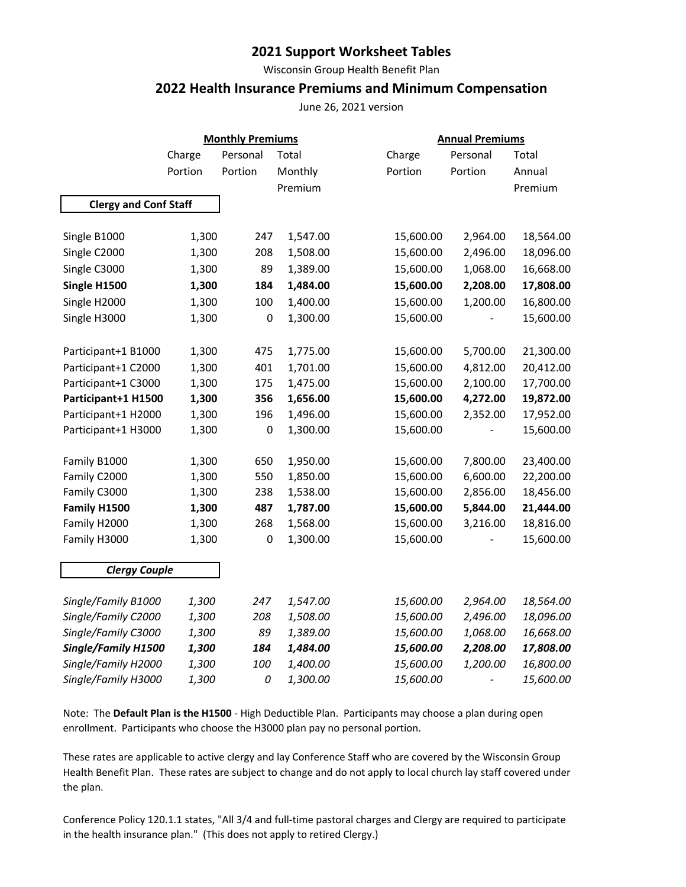## **2021 Support Worksheet Tables**

Wisconsin Group Health Benefit Plan

## **2022 Health Insurance Premiums and Minimum Compensation**

June 26, 2021 version

|                              |         | <b>Monthly Premiums</b> |          |           | <b>Annual Premiums</b> |           |  |  |
|------------------------------|---------|-------------------------|----------|-----------|------------------------|-----------|--|--|
|                              | Charge  | Personal                | Total    | Charge    | Personal               | Total     |  |  |
|                              | Portion | Portion                 | Monthly  | Portion   | Portion                | Annual    |  |  |
|                              |         |                         | Premium  |           |                        | Premium   |  |  |
| <b>Clergy and Conf Staff</b> |         |                         |          |           |                        |           |  |  |
|                              |         |                         |          |           |                        |           |  |  |
| Single B1000                 | 1,300   | 247                     | 1,547.00 | 15,600.00 | 2,964.00               | 18,564.00 |  |  |
| Single C2000                 | 1,300   | 208                     | 1,508.00 | 15,600.00 | 2,496.00               | 18,096.00 |  |  |
| Single C3000                 | 1,300   | 89                      | 1,389.00 | 15,600.00 | 1,068.00               | 16,668.00 |  |  |
| Single H1500                 | 1,300   | 184                     | 1,484.00 | 15,600.00 | 2,208.00               | 17,808.00 |  |  |
| Single H2000                 | 1,300   | 100                     | 1,400.00 | 15,600.00 | 1,200.00               | 16,800.00 |  |  |
| Single H3000                 | 1,300   | $\pmb{0}$               | 1,300.00 | 15,600.00 |                        | 15,600.00 |  |  |
| Participant+1 B1000          | 1,300   | 475                     | 1,775.00 | 15,600.00 | 5,700.00               | 21,300.00 |  |  |
| Participant+1 C2000          | 1,300   | 401                     | 1,701.00 | 15,600.00 | 4,812.00               | 20,412.00 |  |  |
| Participant+1 C3000          | 1,300   | 175                     | 1,475.00 | 15,600.00 | 2,100.00               | 17,700.00 |  |  |
| Participant+1 H1500          | 1,300   | 356                     | 1,656.00 | 15,600.00 | 4,272.00               | 19,872.00 |  |  |
| Participant+1 H2000          | 1,300   | 196                     | 1,496.00 | 15,600.00 | 2,352.00               | 17,952.00 |  |  |
| Participant+1 H3000          | 1,300   | $\mathbf 0$             | 1,300.00 | 15,600.00 |                        | 15,600.00 |  |  |
| Family B1000                 | 1,300   | 650                     | 1,950.00 | 15,600.00 | 7,800.00               | 23,400.00 |  |  |
| Family C2000                 | 1,300   | 550                     | 1,850.00 | 15,600.00 | 6,600.00               | 22,200.00 |  |  |
| Family C3000                 | 1,300   | 238                     | 1,538.00 | 15,600.00 | 2,856.00               | 18,456.00 |  |  |
| Family H1500                 | 1,300   | 487                     | 1,787.00 | 15,600.00 | 5,844.00               | 21,444.00 |  |  |
| Family H2000                 | 1,300   | 268                     | 1,568.00 | 15,600.00 | 3,216.00               | 18,816.00 |  |  |
| Family H3000                 | 1,300   | $\mathbf 0$             | 1,300.00 | 15,600.00 |                        | 15,600.00 |  |  |
| <b>Clergy Couple</b>         |         |                         |          |           |                        |           |  |  |
| Single/Family B1000          | 1,300   | 247                     | 1,547.00 | 15,600.00 | 2,964.00               | 18,564.00 |  |  |
| Single/Family C2000          | 1,300   | 208                     | 1,508.00 | 15,600.00 | 2,496.00               | 18,096.00 |  |  |
| Single/Family C3000          | 1,300   | 89                      | 1,389.00 | 15,600.00 | 1,068.00               | 16,668.00 |  |  |
| Single/Family H1500          | 1,300   | 184                     | 1,484.00 | 15,600.00 | 2,208.00               | 17,808.00 |  |  |
| Single/Family H2000          | 1,300   | 100                     | 1,400.00 | 15,600.00 | 1,200.00               | 16,800.00 |  |  |
| Single/Family H3000          | 1,300   | 0                       | 1,300.00 | 15,600.00 |                        | 15,600.00 |  |  |
|                              |         |                         |          |           |                        |           |  |  |

Note: The **Default Plan is the H1500** - High Deductible Plan. Participants may choose a plan during open enrollment. Participants who choose the H3000 plan pay no personal portion.

These rates are applicable to active clergy and lay Conference Staff who are covered by the Wisconsin Group Health Benefit Plan. These rates are subject to change and do not apply to local church lay staff covered under the plan.

Conference Policy 120.1.1 states, "All 3/4 and full-time pastoral charges and Clergy are required to participate in the health insurance plan." (This does not apply to retired Clergy.)